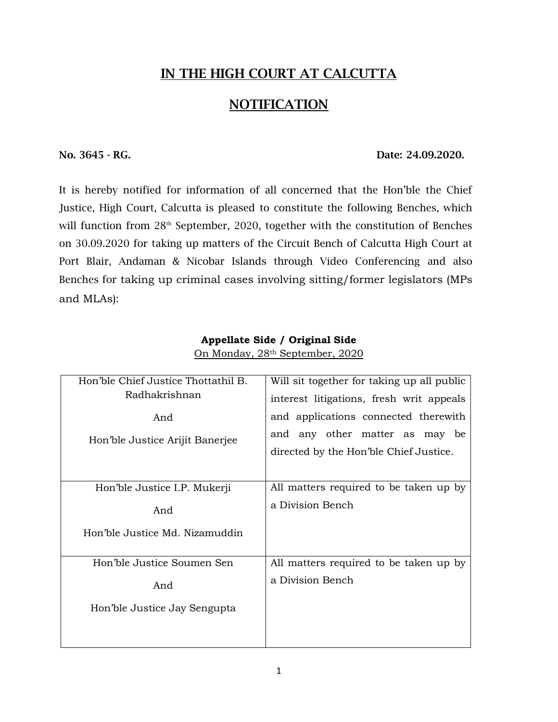# **IN THE HIGH COURT AT CALCUTTA**

# **NOTIFICATION**

#### **No. 3645 - RG. Date: 24.09.2020.**

It is hereby notified for information of all concerned that the Hon'ble the Chief Justice, High Court, Calcutta is pleased to constitute the following Benches, which will function from  $28<sup>th</sup>$  September, 2020, together with the constitution of Benches on 30.09.2020 for taking up matters of the Circuit Bench of Calcutta High Court at Port Blair, Andaman & Nicobar Islands through Video Conferencing and also Benches for taking up criminal cases involving sitting/former legislators (MPs and MLAs):

| Hon'ble Chief Justice Thottathil B. | Will sit together for taking up all public |
|-------------------------------------|--------------------------------------------|
| Radhakrishnan                       | interest litigations, fresh writ appeals   |
| And                                 | and applications connected therewith       |
| Hon'ble Justice Arijit Banerjee     | and any other matter as may be             |
|                                     | directed by the Hon'ble Chief Justice.     |
|                                     |                                            |
| Hon'ble Justice I.P. Mukerji        | All matters required to be taken up by     |
| And                                 | a Division Bench                           |
| Hon'ble Justice Md. Nizamuddin      |                                            |
|                                     |                                            |
| Hon'ble Justice Soumen Sen          | All matters required to be taken up by     |
| And                                 | a Division Bench                           |
| Hon'ble Justice Jay Sengupta        |                                            |
|                                     |                                            |
|                                     |                                            |

### **Appellate Side / Original Side** On Monday, 28th September, 2020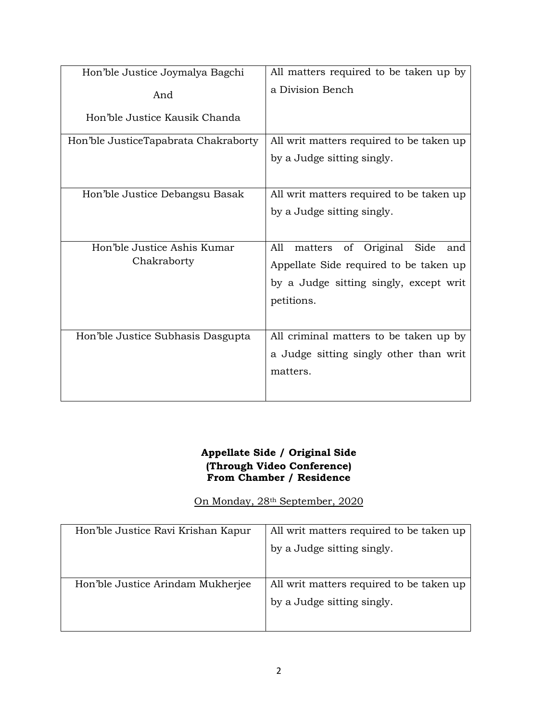| Hon'ble Justice Joymalya Bagchi      | All matters required to be taken up by    |
|--------------------------------------|-------------------------------------------|
| And                                  | a Division Bench                          |
| Hon'ble Justice Kausik Chanda        |                                           |
| Hon'ble JusticeTapabrata Chakraborty | All writ matters required to be taken up  |
|                                      | by a Judge sitting singly.                |
|                                      |                                           |
| Hon'ble Justice Debangsu Basak       | All writ matters required to be taken up  |
|                                      | by a Judge sitting singly.                |
|                                      |                                           |
| Hon'ble Justice Ashis Kumar          | A11<br>of Original Side<br>matters<br>and |
| Chakraborty                          | Appellate Side required to be taken up    |
|                                      | by a Judge sitting singly, except writ    |
|                                      | petitions.                                |
|                                      |                                           |
| Hon'ble Justice Subhasis Dasgupta    | All criminal matters to be taken up by    |
|                                      | a Judge sitting singly other than writ    |
|                                      | matters.                                  |
|                                      |                                           |
|                                      |                                           |

#### **Appellate Side / Original Side (Through Video Conference) From Chamber / Residence**

On Monday, 28th September, 2020

| All writ matters required to be taken up |
|------------------------------------------|
| by a Judge sitting singly.               |
|                                          |
| All writ matters required to be taken up |
| by a Judge sitting singly.               |
|                                          |
|                                          |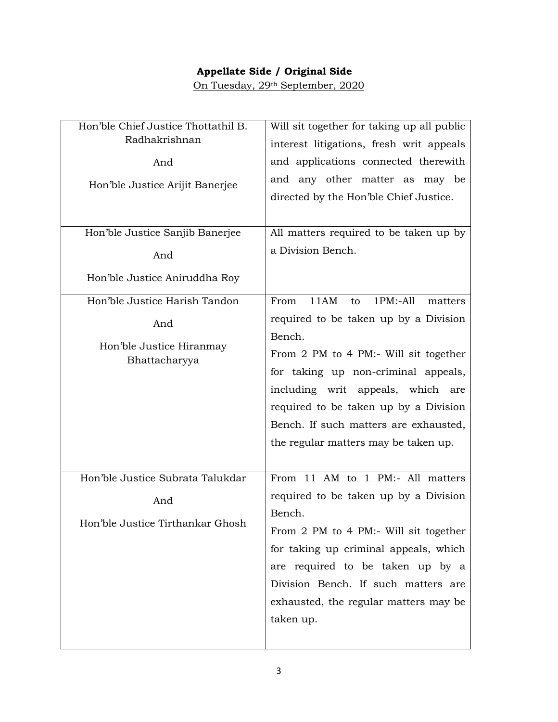# **Appellate Side / Original Side**

On Tuesday, 29th September, 2020

| Hon'ble Chief Justice Thottathil B.<br>Radhakrishnan<br>And<br>Hon'ble Justice Arijit Banerjee           | Will sit together for taking up all public<br>interest litigations, fresh writ appeals<br>and applications connected therewith<br>and any other matter as may be<br>directed by the Hon'ble Chief Justice.                                                                                             |
|----------------------------------------------------------------------------------------------------------|--------------------------------------------------------------------------------------------------------------------------------------------------------------------------------------------------------------------------------------------------------------------------------------------------------|
| Hon'ble Justice Sanjib Banerjee<br>And<br>Hon'ble Justice Aniruddha Roy<br>Hon'ble Justice Harish Tandon | All matters required to be taken up by<br>a Division Bench.<br>11AM<br>$1PM: -All$<br>From<br>matters<br>to                                                                                                                                                                                            |
| And<br>Hon'ble Justice Hiranmay<br>Bhattacharyya                                                         | required to be taken up by a Division<br>Bench.<br>From 2 PM to 4 PM:- Will sit together<br>for taking up non-criminal appeals,<br>including writ appeals, which are<br>required to be taken up by a Division<br>Bench. If such matters are exhausted,<br>the regular matters may be taken up.         |
| Hon'ble Justice Subrata Talukdar<br>And<br>Hon'ble Justice Tirthankar Ghosh                              | From 11 AM to 1 PM:- All matters<br>required to be taken up by a Division<br>Bench.<br>From 2 PM to 4 PM:- Will sit together<br>for taking up criminal appeals, which<br>are required to be taken up by a<br>Division Bench. If such matters are<br>exhausted, the regular matters may be<br>taken up. |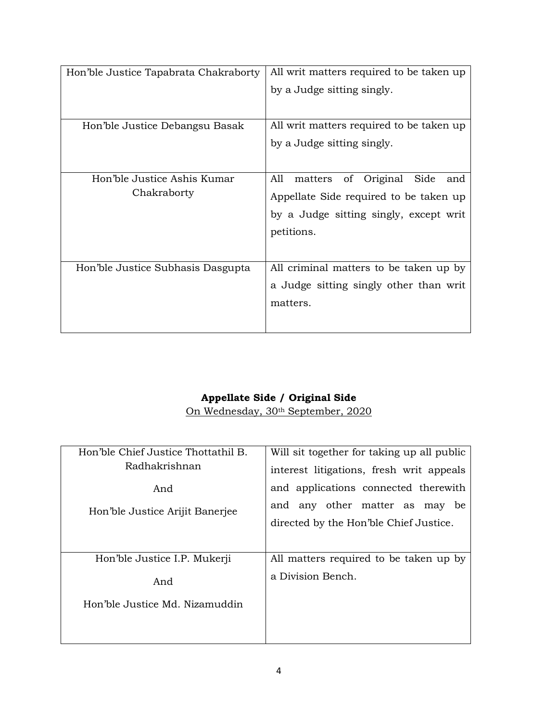| Hon'ble Justice Tapabrata Chakraborty      | All writ matters required to be taken up<br>by a Judge sitting singly.                                                                            |
|--------------------------------------------|---------------------------------------------------------------------------------------------------------------------------------------------------|
| Hon'ble Justice Debangsu Basak             | All writ matters required to be taken up<br>by a Judge sitting singly.                                                                            |
| Hon'ble Justice Ashis Kumar<br>Chakraborty | All<br>Original<br>Side<br>of<br>matters<br>and<br>Appellate Side required to be taken up<br>by a Judge sitting singly, except writ<br>petitions. |
| Hon'ble Justice Subhasis Dasgupta          | All criminal matters to be taken up by<br>a Judge sitting singly other than writ<br>matters.                                                      |

## **Appellate Side / Original Side**

On Wednesday, 30th September, 2020

| Hon'ble Chief Justice Thottathil B. | Will sit together for taking up all public |
|-------------------------------------|--------------------------------------------|
| Radhakrishnan                       | interest litigations, fresh writ appeals   |
| And                                 | and applications connected therewith       |
| Hon'ble Justice Arijit Banerjee     | and any other matter as may<br>be          |
|                                     | directed by the Hon'ble Chief Justice.     |
|                                     |                                            |
| Hon'ble Justice I.P. Mukerji        | All matters required to be taken up by     |
| And                                 | a Division Bench.                          |
| Hon'ble Justice Md. Nizamuddin      |                                            |
|                                     |                                            |
|                                     |                                            |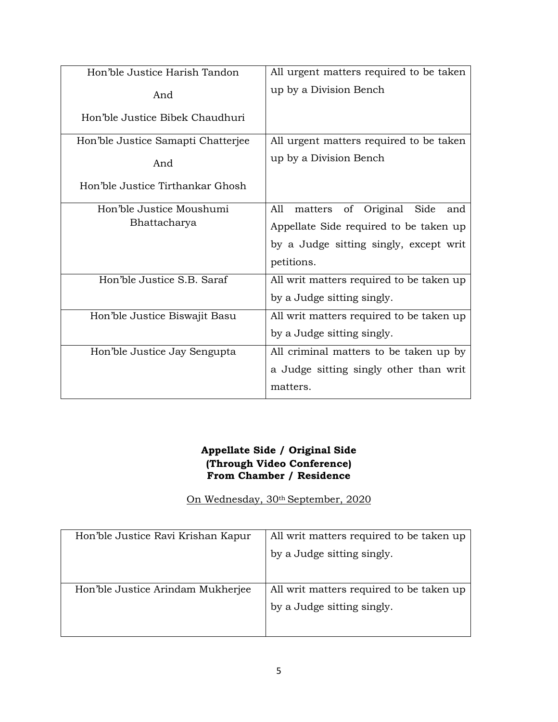| Hon'ble Justice Harish Tandon      | All urgent matters required to be taken         |
|------------------------------------|-------------------------------------------------|
| And                                | up by a Division Bench                          |
| Hon'ble Justice Bibek Chaudhuri    |                                                 |
| Hon'ble Justice Samapti Chatterjee | All urgent matters required to be taken         |
| And                                | up by a Division Bench                          |
| Hon'ble Justice Tirthankar Ghosh   |                                                 |
| Hon'ble Justice Moushumi           | A11<br>of<br>Original<br>Side<br>matters<br>and |
| Bhattacharya                       | Appellate Side required to be taken up          |
|                                    | by a Judge sitting singly, except writ          |
|                                    | petitions.                                      |
| Hon'ble Justice S.B. Saraf         | All writ matters required to be taken up        |
|                                    | by a Judge sitting singly.                      |
| Hon'ble Justice Biswajit Basu      | All writ matters required to be taken up        |
|                                    | by a Judge sitting singly.                      |
| Hon'ble Justice Jay Sengupta       | All criminal matters to be taken up by          |
|                                    | a Judge sitting singly other than writ          |
|                                    | matters.                                        |

#### **Appellate Side / Original Side (Through Video Conference) From Chamber / Residence**

On Wednesday, 30th September, 2020

| Hon'ble Justice Ravi Krishan Kapur | All writ matters required to be taken up |
|------------------------------------|------------------------------------------|
|                                    | by a Judge sitting singly.               |
|                                    |                                          |
| Hon'ble Justice Arindam Mukherjee  | All writ matters required to be taken up |
|                                    | by a Judge sitting singly.               |
|                                    |                                          |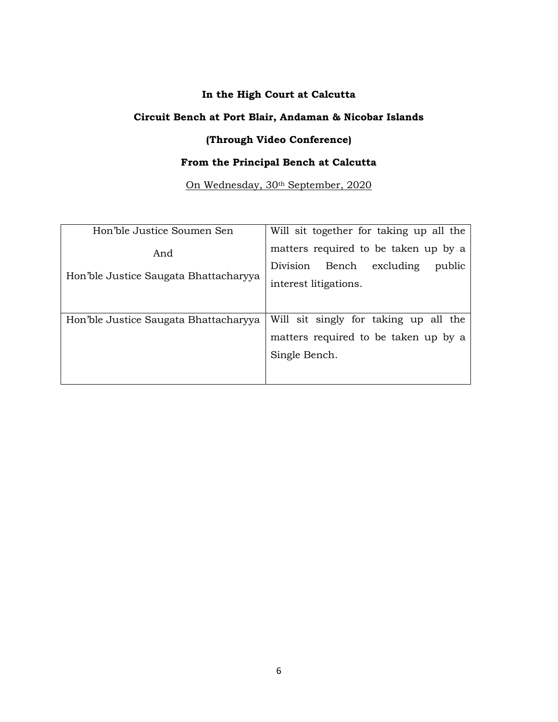#### **In the High Court at Calcutta**

### **Circuit Bench at Port Blair, Andaman & Nicobar Islands**

# **(Through Video Conference)**

# **From the Principal Bench at Calcutta**

#### On Wednesday, 30th September, 2020

| Hon'ble Justice Soumen Sen                   | Will sit together for taking up all the                                                             |
|----------------------------------------------|-----------------------------------------------------------------------------------------------------|
| And<br>Hon'ble Justice Saugata Bhattacharyya | matters required to be taken up by a<br>Division Bench excluding<br>public<br>interest litigations. |
| Hon'ble Justice Saugata Bhattacharyya        | Will sit singly for taking up all the<br>matters required to be taken up by a<br>Single Bench.      |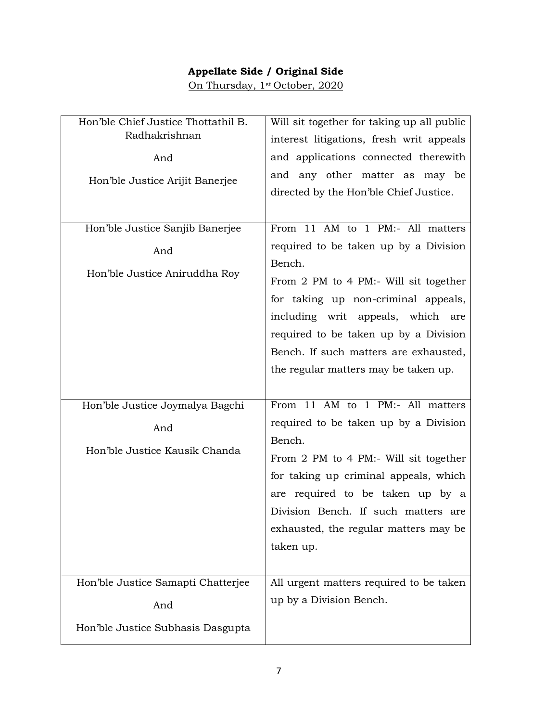# **Appellate Side / Original Side**

On Thursday, 1st October, 2020

| Hon'ble Chief Justice Thottathil B.      | Will sit together for taking up all public |
|------------------------------------------|--------------------------------------------|
| Radhakrishnan                            | interest litigations, fresh writ appeals   |
| And                                      | and applications connected therewith       |
| Hon'ble Justice Arijit Banerjee          | and any other matter as may be             |
|                                          | directed by the Hon'ble Chief Justice.     |
|                                          |                                            |
| Hon'ble Justice Sanjib Banerjee          | From 11 AM to 1 PM:- All matters           |
| And                                      | required to be taken up by a Division      |
|                                          | Bench.                                     |
| Hon'ble Justice Aniruddha Roy            | From 2 PM to 4 PM:- Will sit together      |
|                                          | for taking up non-criminal appeals,        |
|                                          | including writ appeals, which are          |
|                                          | required to be taken up by a Division      |
|                                          | Bench. If such matters are exhausted,      |
|                                          | the regular matters may be taken up.       |
|                                          |                                            |
| Hon'ble Justice Joymalya Bagchi          | From 11 AM to 1 PM:- All matters           |
| And                                      | required to be taken up by a Division      |
|                                          | Bench.                                     |
| Hon'ble Justice Kausik Chanda            | From 2 PM to 4 PM:- Will sit together      |
|                                          | for taking up criminal appeals, which      |
|                                          | are required to be taken up by a           |
|                                          | Division Bench. If such matters are        |
|                                          |                                            |
|                                          | exhausted, the regular matters may be      |
|                                          | taken up.                                  |
|                                          |                                            |
| Hon'ble Justice Samapti Chatterjee       | All urgent matters required to be taken    |
|                                          | up by a Division Bench.                    |
| And<br>Hon'ble Justice Subhasis Dasgupta |                                            |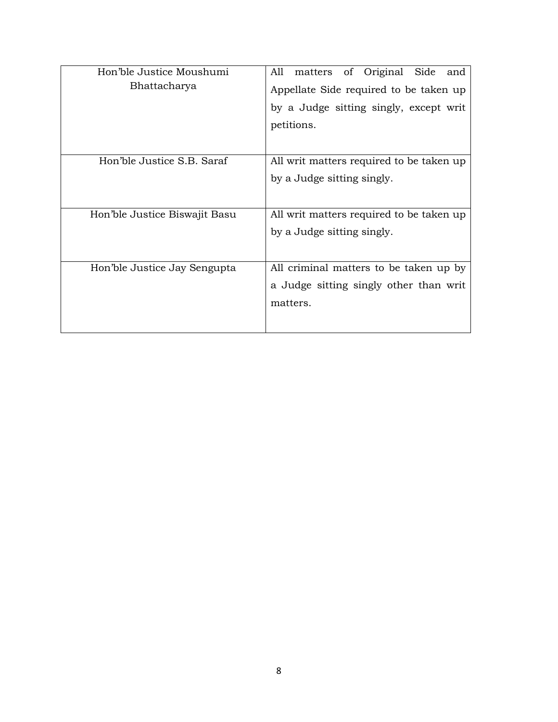| Hon'ble Justice Moushumi      | All<br>of Original<br>Side<br>matters<br>and |
|-------------------------------|----------------------------------------------|
| Bhattacharya                  | Appellate Side required to be taken up       |
|                               | by a Judge sitting singly, except writ       |
|                               | petitions.                                   |
|                               |                                              |
| Hon'ble Justice S.B. Saraf    | All writ matters required to be taken up     |
|                               | by a Judge sitting singly.                   |
|                               |                                              |
| Hon'ble Justice Biswajit Basu | All writ matters required to be taken up     |
|                               | by a Judge sitting singly.                   |
|                               |                                              |
| Hon'ble Justice Jay Sengupta  | All criminal matters to be taken up by       |
|                               | a Judge sitting singly other than writ       |
|                               | matters.                                     |
|                               |                                              |